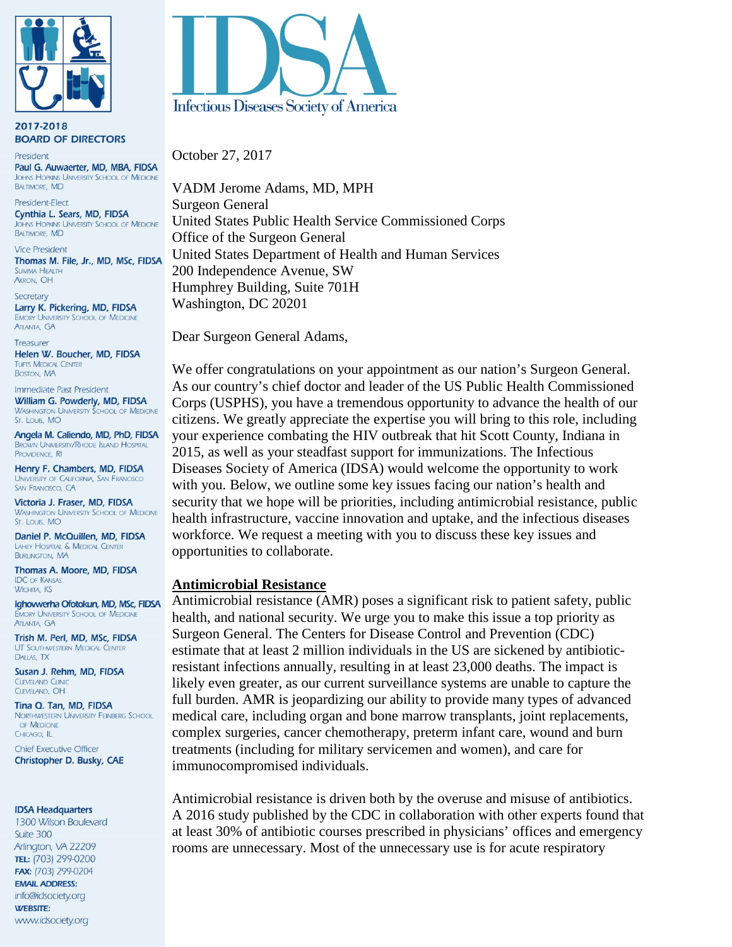

2017-2018 **BOARD OF DIRECTORS** 

President Paul G. Auwaerter, MD, MBA, FIDSA **JOHNS HOPKINS UNIVERSITY SCHOOL OF MEDICINE BALTIMORE, MD** 

President-Flect Cynthia L. Sears, MD, FIDSA OHNS HOPKINS UNIVERSITY SCHOOL OF MEDICINE **BALTIMORE, MD** 

**Vice President** Thomas M. File, Jr., MD, MSc, FIDSA **SUMMA HEALTH** AKRON, OH

Secretary Larry K. Pickering, MD, FIDSA **EMORY UNIVERSITY SCHOOL OF MEDICINE ATLANTA, GA** 

**Treasurer** Helen W. Boucher, MD, FIDSA **TUFTS MEDICAL CENTER BOSTON, MA** 

Immediate Past President William G. Powderly, MD, FIDSA **WASHINGTON UNIVERSITY SCHOOL OF MEDICINE** St. Louis, MO

Angela M. Caliendo, MD, PhD, FIDSA **BROWN UNIVERSITY/RHODE ISLAND HOSPITAL** PROVIDENCE, RI

Henry F. Chambers, MD, FIDSA UNIVERSITY OF CALIFORNIA, SAN FRANCISCO SAN FRANCISCO, CA

Victoria J. Fraser, MD, FIDSA **WASHINGTON UNIVERSITY SCHOOL OF MEDICINE** St. Louis, MO

Daniel P. McQuillen, MD, FIDSA LAHEY HOSPITAL & MEDICAL CENTER **BURLINGTON, MA** 

Thomas A. Moore, MD, FIDSA **IDC OF KANSAS WICHITA, KS** 

Ighovwerha Ofotokun, MD, MSc, FIDSA **EMORY UNIVERSITY SCHOOL OF MEDICINE ATLANTA, GA** 

Trish M. Perl, MD, MSc, FIDSA UT SOUTHWESTERN MEDICAL CENTER DALLAS, TX

Susan J. Rehm, MD, FIDSA **CLEVELAND CLINIC** CLEVELAND, OH

Tina Q. Tan, MD, FIDSA NORTHWESTERN UNIVERSITY FEINBERG SCHOOL OF MEDICINE CHICAGO, IL

**Chief Executive Officer** Christopher D. Busky, CAE

#### **IDSA Headquarters**

1300 Wilson Boulevard Suite 300 Arlington, VA 22209 TEL: (703) 299-0200 FAX: (703) 299-0204 **EMAIL ADDRESS:** info@idsociety.org **WEBSITE:** www.idsociety.org



October 27, 2017

VADM Jerome Adams, MD, MPH Surgeon General United States Public Health Service Commissioned Corps Office of the Surgeon General United States Department of Health and Human Services 200 Independence Avenue, SW Humphrey Building, Suite 701H Washington, DC 20201

Dear Surgeon General Adams,

We offer congratulations on your appointment as our nation's Surgeon General. As our country's chief doctor and leader of the US Public Health Commissioned Corps (USPHS), you have a tremendous opportunity to advance the health of our citizens. We greatly appreciate the expertise you will bring to this role, including your experience combating the HIV outbreak that hit Scott County, Indiana in 2015, as well as your steadfast support for immunizations. The Infectious Diseases Society of America (IDSA) would welcome the opportunity to work with you. Below, we outline some key issues facing our nation's health and security that we hope will be priorities, including antimicrobial resistance, public health infrastructure, vaccine innovation and uptake, and the infectious diseases workforce. We request a meeting with you to discuss these key issues and opportunities to collaborate.

#### **Antimicrobial Resistance**

Antimicrobial resistance (AMR) poses a significant risk to patient safety, public health, and national security. We urge you to make this issue a top priority as Surgeon General. The Centers for Disease Control and Prevention (CDC) estimate that at least 2 million individuals in the US are sickened by antibioticresistant infections annually, resulting in at least 23,000 deaths. The impact is likely even greater, as our current surveillance systems are unable to capture the full burden. AMR is jeopardizing our ability to provide many types of advanced medical care, including organ and bone marrow transplants, joint replacements, complex surgeries, cancer chemotherapy, preterm infant care, wound and burn treatments (including for military servicemen and women), and care for immunocompromised individuals.

Antimicrobial resistance is driven both by the overuse and misuse of antibiotics. A 2016 study published by the CDC in collaboration with other experts found that at least 30% of antibiotic courses prescribed in physicians' offices and emergency rooms are unnecessary. Most of the unnecessary use is for acute respiratory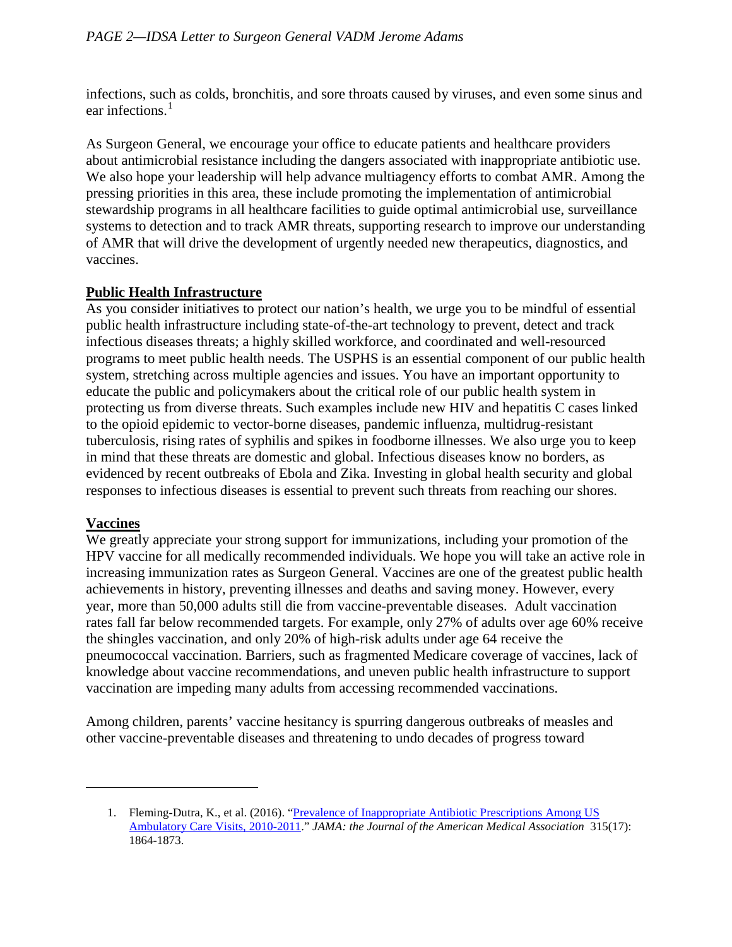infections, such as colds, bronchitis, and sore throats caused by viruses, and even some sinus and ear infections.<sup>[1](#page-1-0)</sup>

As Surgeon General, we encourage your office to educate patients and healthcare providers about antimicrobial resistance including the dangers associated with inappropriate antibiotic use. We also hope your leadership will help advance multiagency efforts to combat AMR. Among the pressing priorities in this area, these include promoting the implementation of antimicrobial stewardship programs in all healthcare facilities to guide optimal antimicrobial use, surveillance systems to detection and to track AMR threats, supporting research to improve our understanding of AMR that will drive the development of urgently needed new therapeutics, diagnostics, and vaccines.

## **Public Health Infrastructure**

As you consider initiatives to protect our nation's health, we urge you to be mindful of essential public health infrastructure including state-of-the-art technology to prevent, detect and track infectious diseases threats; a highly skilled workforce, and coordinated and well-resourced programs to meet public health needs. The USPHS is an essential component of our public health system, stretching across multiple agencies and issues. You have an important opportunity to educate the public and policymakers about the critical role of our public health system in protecting us from diverse threats. Such examples include new HIV and hepatitis C cases linked to the opioid epidemic to vector-borne diseases, pandemic influenza, multidrug-resistant tuberculosis, rising rates of syphilis and spikes in foodborne illnesses. We also urge you to keep in mind that these threats are domestic and global. Infectious diseases know no borders, as evidenced by recent outbreaks of Ebola and Zika. Investing in global health security and global responses to infectious diseases is essential to prevent such threats from reaching our shores.

## **Vaccines**

<span id="page-1-0"></span> $\overline{\phantom{a}}$ 

We greatly appreciate your strong support for immunizations, including your promotion of the HPV vaccine for all medically recommended individuals. We hope you will take an active role in increasing immunization rates as Surgeon General. Vaccines are one of the greatest public health achievements in history, preventing illnesses and deaths and saving money. However, every year, more than 50,000 adults still die from vaccine-preventable diseases. Adult vaccination rates fall far below recommended targets. For example, only 27% of adults over age 60% receive the shingles vaccination, and only 20% of high-risk adults under age 64 receive the pneumococcal vaccination. Barriers, such as fragmented Medicare coverage of vaccines, lack of knowledge about vaccine recommendations, and uneven public health infrastructure to support vaccination are impeding many adults from accessing recommended vaccinations.

Among children, parents' vaccine hesitancy is spurring dangerous outbreaks of measles and other vaccine-preventable diseases and threatening to undo decades of progress toward

<sup>1.</sup> Fleming-Dutra, K., et al. (2016). "Prevalence of Inappropriate Antibiotic Prescriptions Among US [Ambulatory Care Visits, 2010-2011.](https://www.ncbi.nlm.nih.gov/pubmed/27139059)" *JAMA: the Journal of the American Medical Association* 315(17): 1864-1873.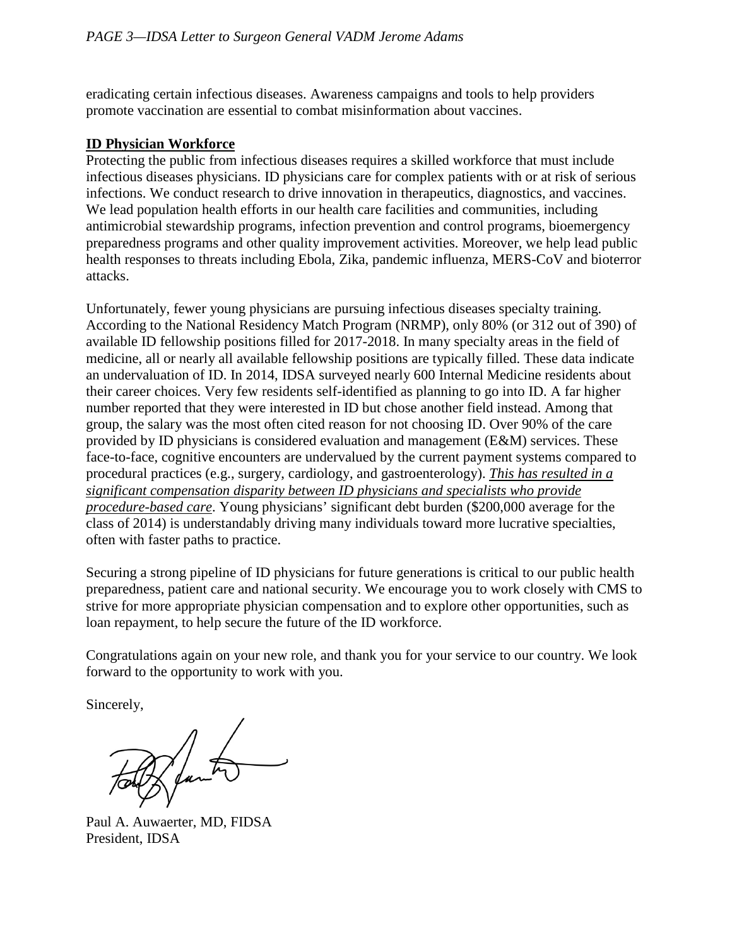eradicating certain infectious diseases. Awareness campaigns and tools to help providers promote vaccination are essential to combat misinformation about vaccines.

#### **ID Physician Workforce**

Protecting the public from infectious diseases requires a skilled workforce that must include infectious diseases physicians. ID physicians care for complex patients with or at risk of serious infections. We conduct research to drive innovation in therapeutics, diagnostics, and vaccines. We lead population health efforts in our health care facilities and communities, including antimicrobial stewardship programs, infection prevention and control programs, bioemergency preparedness programs and other quality improvement activities. Moreover, we help lead public health responses to threats including Ebola, Zika, pandemic influenza, MERS-CoV and bioterror attacks.

Unfortunately, fewer young physicians are pursuing infectious diseases specialty training. According to the National Residency Match Program (NRMP), only 80% (or 312 out of 390) of available ID fellowship positions filled for 2017-2018. In many specialty areas in the field of medicine, all or nearly all available fellowship positions are typically filled. These data indicate an undervaluation of ID. In 2014, IDSA surveyed nearly 600 Internal Medicine residents about their career choices. Very few residents self-identified as planning to go into ID. A far higher number reported that they were interested in ID but chose another field instead. Among that group, the salary was the most often cited reason for not choosing ID. Over 90% of the care provided by ID physicians is considered evaluation and management (E&M) services. These face-to-face, cognitive encounters are undervalued by the current payment systems compared to procedural practices (e.g., surgery, cardiology, and gastroenterology). *This has resulted in a significant compensation disparity between ID physicians and specialists who provide procedure-based care*. Young physicians' significant debt burden (\$200,000 average for the class of 2014) is understandably driving many individuals toward more lucrative specialties, often with faster paths to practice.

Securing a strong pipeline of ID physicians for future generations is critical to our public health preparedness, patient care and national security. We encourage you to work closely with CMS to strive for more appropriate physician compensation and to explore other opportunities, such as loan repayment, to help secure the future of the ID workforce.

Congratulations again on your new role, and thank you for your service to our country. We look forward to the opportunity to work with you.

Sincerely,

Thanks

Paul A. Auwaerter, MD, FIDSA President, IDSA